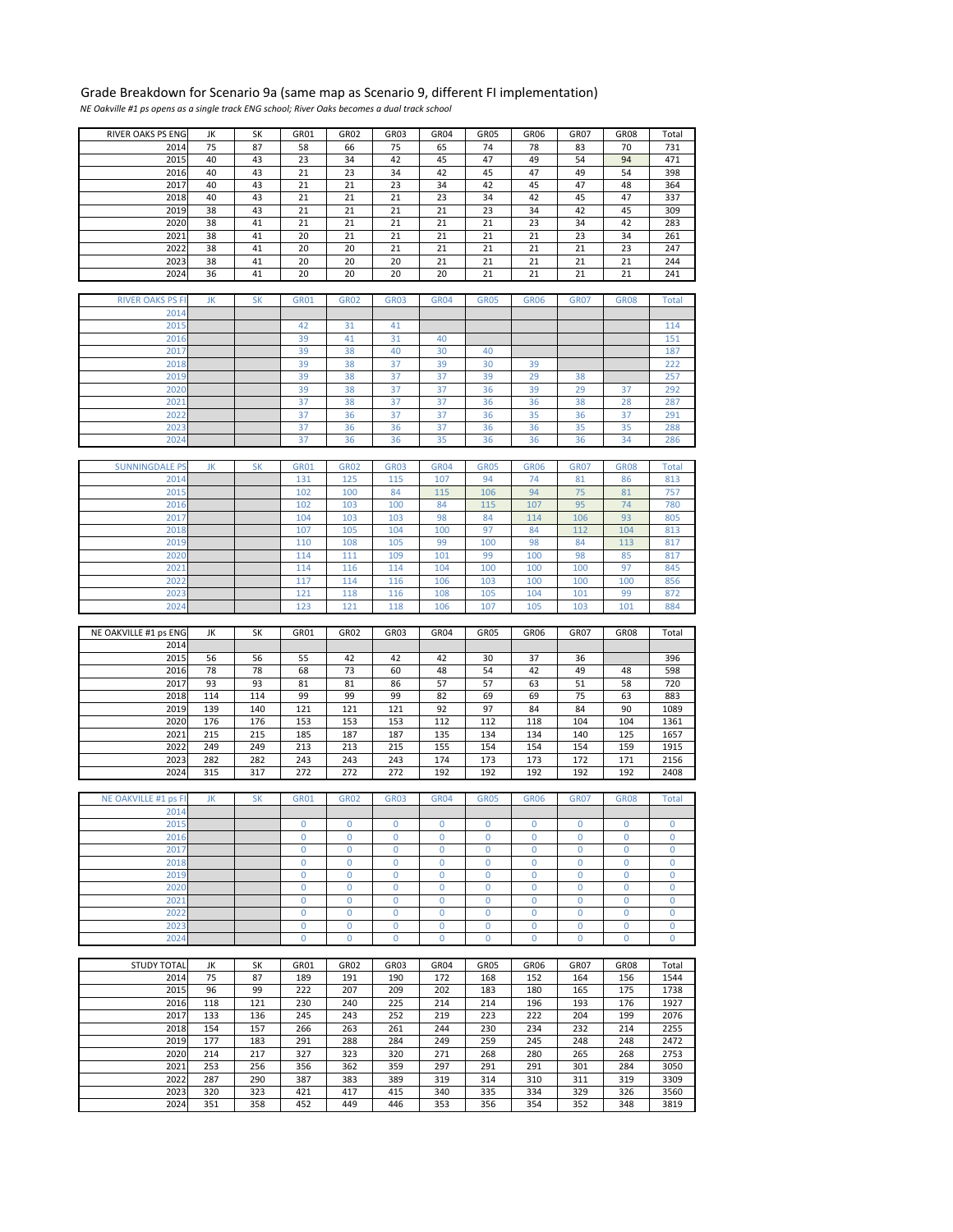## Grade Breakdown for Scenario 9a (same map as Scenario 9, different FI implementation)

*NE Oakville #1 ps opens as a single track ENG school; River Oaks becomes a dual track school*

| RIVER OAKS PS ENG       | JK  | SΚ        | GR01        | GR02        | GR03         | GR04        | GR05         | GR06        | GR07         | <b>GR08</b>  | Total        |
|-------------------------|-----|-----------|-------------|-------------|--------------|-------------|--------------|-------------|--------------|--------------|--------------|
| 2014                    | 75  | 87        | 58          | 66          | 75           | 65          | 74           | 78          | 83           | 70           | 731          |
| 2015                    | 40  | 43        | 23          | 34          | 42           | 45          | 47           | 49          | 54           | 94           | 471          |
|                         |     |           |             |             |              |             |              |             |              |              |              |
| 2016                    | 40  | 43        | 21          | 23          | 34           | 42          | 45           | 47          | 49           | 54           | 398          |
| 2017                    | 40  | 43        | 21          | 21          | 23           | 34          | 42           | 45          | 47           | 48           | 364          |
| 2018                    | 40  | 43        | 21          | 21          | 21           | 23          | 34           | 42          | 45           | 47           | 337          |
| 2019                    | 38  | 43        | 21          | 21          | 21           | 21          | 23           | 34          | 42           | 45           | 309          |
| 2020                    | 38  | 41        | 21          | 21          | 21           | 21          | 21           | 23          | 34           | 42           | 283          |
|                         |     |           |             |             |              |             |              |             |              |              |              |
| 2021                    | 38  | 41        | 20          | 21          | 21           | 21          | 21           | 21          | 23           | 34           | 261          |
| 2022                    | 38  | 41        | 20          | 20          | 21           | 21          | 21           | 21          | 21           | 23           | 247          |
| 2023                    | 38  | 41        | 20          | 20          | 20           | 21          | 21           | 21          | 21           | 21           | 244          |
| 2024                    | 36  | 41        | 20          | 20          | 20           | 20          | 21           | 21          | 21           | 21           | 241          |
|                         |     |           |             |             |              |             |              |             |              |              |              |
|                         |     |           |             |             |              |             |              |             |              |              |              |
| <b>RIVER OAKS PS FI</b> | JK  | <b>SK</b> | <b>GR01</b> | <b>GR02</b> | <b>GR03</b>  | <b>GR04</b> | <b>GR05</b>  | <b>GR06</b> | <b>GR07</b>  | <b>GR08</b>  | <b>Total</b> |
| 2014                    |     |           |             |             |              |             |              |             |              |              |              |
| 2015                    |     |           | 42          | 31          | 41           |             |              |             |              |              | 114          |
| 2016                    |     |           | 39          | 41          | 31           | 40          |              |             |              |              | 151          |
|                         |     |           |             |             |              |             |              |             |              |              |              |
| 2017                    |     |           | 39          | 38          | 40           | 30          | 40           |             |              |              | 187          |
| 2018                    |     |           | 39          | 38          | 37           | 39          | 30           | 39          |              |              | 222          |
| 2019                    |     |           | 39          | 38          | 37           | 37          | 39           | 29          | 38           |              | 257          |
| 2020                    |     |           | 39          | 38          | 37           | 37          | 36           | 39          | 29           | 37           | 292          |
| 2021                    |     |           | 37          | 38          | 37           | 37          | 36           | 36          | 38           | 28           | 287          |
|                         |     |           |             |             |              |             |              |             |              |              |              |
| 2022                    |     |           | 37          | 36          | 37           | 37          | 36           | 35          | 36           | 37           | 291          |
| 2023                    |     |           | 37          | 36          | 36           | 37          | 36           | 36          | 35           | 35           | 288          |
| 2024                    |     |           | 37          | 36          | 36           | 35          | 36           | 36          | 36           | 34           | 286          |
|                         |     |           |             |             |              |             |              |             |              |              |              |
| <b>SUNNINGDALE PS</b>   | JK  | <b>SK</b> | <b>GR01</b> | <b>GR02</b> | <b>GR03</b>  | <b>GR04</b> | <b>GR05</b>  | <b>GR06</b> | <b>GR07</b>  | <b>GR08</b>  | <b>Total</b> |
| 2014                    |     |           | 131         | 125         | 115          | 107         | 94           | 74          | 81           | 86           | 813          |
| 2015                    |     |           | 102         | 100         | 84           | 115         | 106          | 94          | 75           | 81           | 757          |
|                         |     |           |             |             |              |             |              |             |              |              |              |
| 2016                    |     |           | 102         | 103         | 100          | 84          | 115          | 107         | 95           | 74           | 780          |
| 2017                    |     |           | 104         | 103         | 103          | 98          | 84           | 114         | 106          | 93           | 805          |
| 2018                    |     |           | 107         | 105         | 104          | 100         | 97           | 84          | 112          | 104          | 813          |
| 2019                    |     |           | 110         | 108         | 105          | 99          | 100          | 98          | 84           | 113          | 817          |
| 2020                    |     |           | 114         | 111         | 109          | 101         | 99           | 100         | 98           | 85           | 817          |
|                         |     |           |             |             |              |             |              |             |              |              |              |
| 2021                    |     |           | 114         | 116         | 114          | 104         | 100          | 100         | 100          | 97           | 845          |
| 2022                    |     |           | 117         | 114         | 116          | 106         | 103          | 100         | 100          | 100          | 856          |
| 2023                    |     |           | 121         | 118         | 116          | 108         | 105          | 104         | 101          | 99           | 872          |
| 2024                    |     |           | 123         | 121         | 118          | 106         | 107          | 105         | 103          | 101          | 884          |
|                         |     |           |             |             |              |             |              |             |              |              |              |
|                         |     |           |             |             |              |             |              |             |              |              |              |
|                         |     |           |             |             |              |             |              |             |              |              |              |
| NE OAKVILLE #1 ps ENG   | JK  | SK        | GR01        | GR02        | GR03         | GR04        | GR05         | GR06        | GR07         | GR08         | Total        |
| 2014                    |     |           |             |             |              |             |              |             |              |              |              |
| 2015                    | 56  | 56        | 55          | 42          | 42           | 42          | 30           | 37          | 36           |              | 396          |
| 2016                    | 78  | 78        | 68          | 73          | 60           | 48          | 54           | 42          | 49           | 48           | 598          |
| 2017                    | 93  | 93        | 81          | 81          | 86           | 57          | 57           | 63          | 51           | 58           | 720          |
| 2018                    | 114 | 114       | 99          | 99          | 99           | 82          | 69           | 69          | 75           | 63           | 883          |
|                         |     |           |             |             |              |             |              |             |              | 90           |              |
| 2019                    | 139 | 140       | 121         | 121         | 121          | 92          | 97           | 84          | 84           |              | 1089         |
| 2020                    | 176 | 176       | 153         | 153         | 153          | 112         | 112          | 118         | 104          | 104          | 1361         |
| 2021                    | 215 | 215       | 185         | 187         | 187          | 135         | 134          | 134         | 140          | 125          | 1657         |
| 2022                    | 249 | 249       | 213         | 213         | 215          | 155         | 154          | 154         | 154          | 159          | 1915         |
| 2023                    | 282 | 282       | 243         | 243         | 243          | 174         | 173          | 173         | 172          | 171          | 2156         |
| 2024                    | 315 | 317       | 272         | 272         | 272          | 192         | 192          | 192         | 192          | 192          | 2408         |
|                         |     |           |             |             |              |             |              |             |              |              |              |
| NE OAKVILLE #1 ps FI    | JK  | <b>SK</b> | <b>GR01</b> | <b>GR02</b> | <b>GR03</b>  | <b>GR04</b> | <b>GR05</b>  | <b>GR06</b> | <b>GR07</b>  | <b>GR08</b>  | <b>Total</b> |
|                         |     |           |             |             |              |             |              |             |              |              |              |
| 2014                    |     |           |             |             |              |             |              |             |              |              |              |
| 2015                    |     |           | $\mathbf 0$ | 0           | 0            | 0           | $\mathbf{0}$ | $\mathbf 0$ | $\mathbf{0}$ | 0            | 0            |
| 2016                    |     |           | 0           | 0           | 0            | 0           | 0            | 0           | $\mathbf 0$  | 0            | $\mathbf 0$  |
| 2017                    |     |           | 0           | 0           | $\mathbf{0}$ | $\mathbf 0$ | 0            | 0           | $\mathbf 0$  | $\mathbf{0}$ | $\mathbf 0$  |
| 2018                    |     |           | 0           | 0           | $\mathbf 0$  | 0           | 0            | 0           | $\mathbf{0}$ | $\mathbf 0$  | 0            |
| 2019                    |     |           | $\mathbf 0$ | 0           | $\mathbf 0$  | 0           | 0            | 0           | $\mathbf 0$  | $\mathbf 0$  | 0            |
|                         |     |           |             |             |              |             |              |             |              |              |              |
| 2020                    |     |           | $\mathbf 0$ | 0           | $\mathbf 0$  | $\mathbf 0$ | 0            | 0           | $\mathbf 0$  | $\mathbf 0$  | $\mathbf 0$  |
| 2021                    |     |           | 0           | 0           | $\mathbf 0$  | 0           | $\mathbf 0$  | 0           | $\mathbf 0$  | $\mathbf 0$  | $\mathbf{0}$ |
| 2022                    |     |           | $\mathbf 0$ | $\mathbf 0$ | $\mathbf 0$  | $\mathbf 0$ | $\mathbf 0$  | 0           | $\mathbf 0$  | $\mathbf 0$  | $\mathbf 0$  |
| 2023                    |     |           | $\mathbf 0$ | 0           | $\mathbf 0$  | 0           | $\mathbf 0$  | 0           | $\mathbf 0$  | $\mathbf 0$  | $\mathbf 0$  |
| 2024                    |     |           | $\mathbf 0$ | 0           | $\mathbf 0$  | 0           | $\mathbf 0$  | $\mathbf 0$ | $\mathbf 0$  | $\mathbf 0$  | 0            |
|                         |     |           |             |             |              |             |              |             |              |              |              |
| <b>STUDY TOTAL</b>      | JK  | SK        | GR01        | GR02        | GR03         | GR04        | <b>GR05</b>  | GR06        | GR07         | <b>GR08</b>  | Total        |
|                         |     |           |             |             |              |             |              |             |              |              |              |
| 2014                    | 75  | 87        | 189         | 191         | 190          | 172         | 168          | 152         | 164          | 156          | 1544         |
| 2015                    | 96  | 99        | 222         | 207         | 209          | 202         | 183          | 180         | 165          | 175          | 1738         |
| 2016                    | 118 | 121       | 230         | 240         | 225          | 214         | 214          | 196         | 193          | 176          | 1927         |
| 2017                    | 133 | 136       | 245         | 243         | 252          | 219         | 223          | 222         | 204          | 199          | 2076         |
| 2018                    | 154 | 157       | 266         | 263         | 261          | 244         | 230          | 234         | 232          | 214          | 2255         |
| 2019                    | 177 | 183       | 291         | 288         | 284          | 249         | 259          | 245         | 248          | 248          | 2472         |
|                         |     |           |             |             |              |             |              |             |              |              |              |
| 2020                    | 214 | 217       | 327         | 323         | 320          | 271         | 268          | 280         | 265          | 268          | 2753         |
| 2021                    | 253 | 256       | 356         | 362         | 359          | 297         | 291          | 291         | 301          | 284          | 3050         |
| 2022                    | 287 | 290       | 387         | 383         | 389          | 319         | 314          | 310         | 311          | 319          | 3309         |
| 2023                    | 320 | 323       | 421         | 417         | 415          | 340         | 335          | 334         | 329          | 326          | 3560         |
| 2024                    | 351 | 358       | 452         | 449         | 446          | 353         | 356          | 354         | 352          | 348          | 3819         |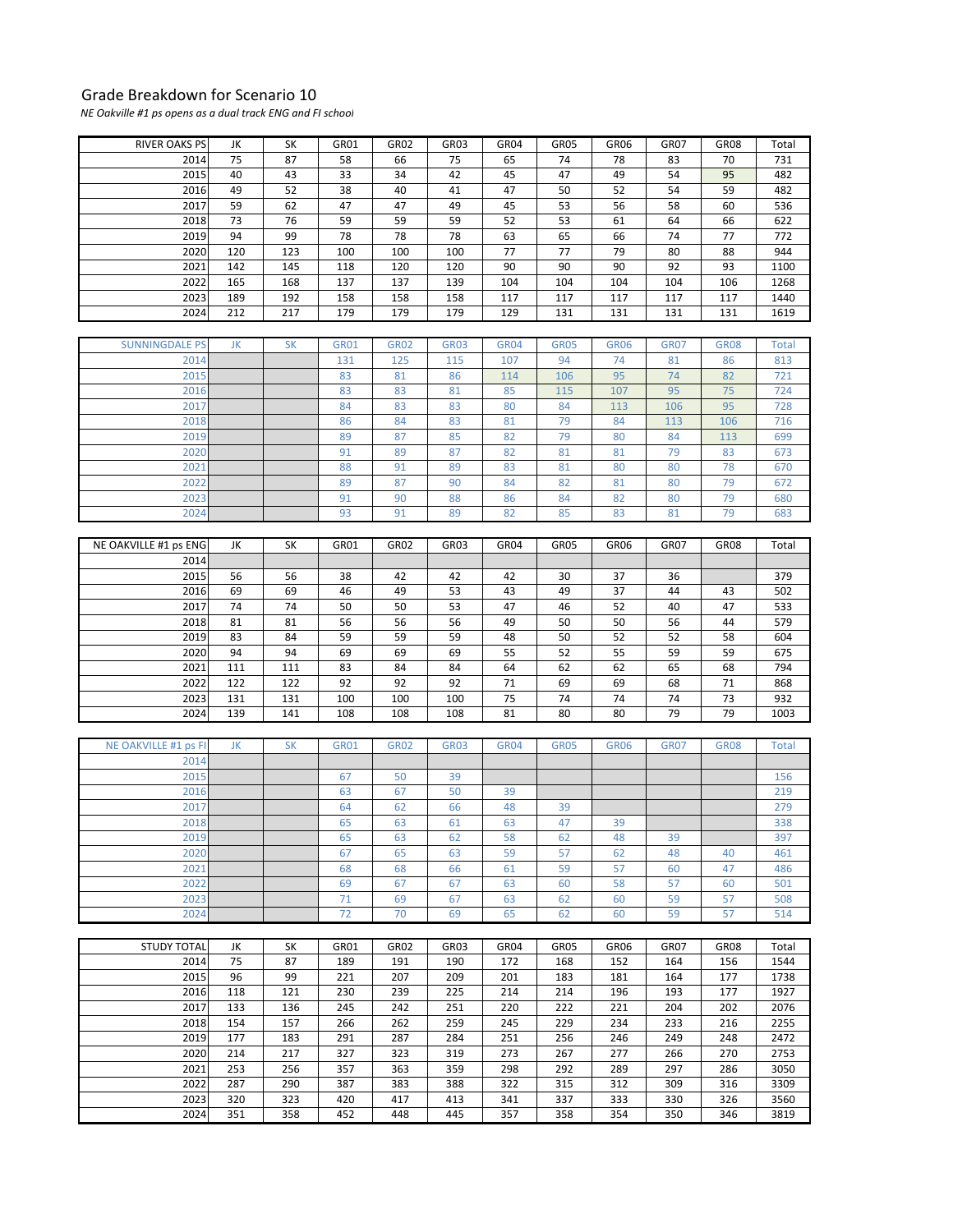## Grade Breakdown for Scenario 10

*NE Oakville #1 ps opens as a dual track ENG and FI school*

| RIVER OAKS PS         | JK       | SK         | GR01        | GR02        | GR03        | GR04        | GR05        | GR06        | GR07        | GR08        | Total        |
|-----------------------|----------|------------|-------------|-------------|-------------|-------------|-------------|-------------|-------------|-------------|--------------|
| 2014                  | 75       | 87         | 58          | 66          | 75          | 65          | 74          | 78          | 83          | 70          | 731          |
| 2015                  | 40       | 43         | 33          | 34          | 42          | 45          | 47          | 49          | 54          | 95          | 482          |
| 2016                  | 49       | 52         | 38          | 40          | 41          | 47          | 50          | 52          | 54          | 59          | 482          |
| 2017                  | 59       | 62         | 47          | 47          | 49          | 45          | 53          | 56          | 58          | 60          | 536          |
| 2018                  | 73       | 76         | 59          | 59          | 59          | 52          | 53          | 61          | 64          | 66          | 622          |
| 2019                  | 94       | 99         | 78          | 78          | 78          | 63          | 65          | 66          | 74          | 77          | 772          |
| 2020                  | 120      | 123        | 100         | 100         | 100         | 77          | 77          | 79          | 80          | 88          | 944          |
| 2021                  | 142      | 145        | 118         | 120         | 120         | 90          | 90          | 90          | 92          | 93          | 1100         |
| 2022                  | 165      | 168        | 137         | 137         | 139         | 104         | 104         | 104         | 104         | 106         | 1268         |
| 2023                  | 189      | 192        | 158         | 158         | 158         | 117         | 117         | 117         | 117         | 117         | 1440         |
| 2024                  | 212      | 217        | 179         | 179         | 179         | 129         | 131         | 131         | 131         | 131         | 1619         |
| <b>SUNNINGDALE PS</b> | JK       | <b>SK</b>  | <b>GR01</b> | <b>GR02</b> | <b>GR03</b> | <b>GR04</b> | <b>GR05</b> | <b>GR06</b> | <b>GR07</b> | <b>GR08</b> | <b>Total</b> |
| 2014                  |          |            | 131         | 125         | 115         | 107         | 94          | 74          | 81          | 86          | 813          |
| 2015                  |          |            | 83          | 81          | 86          | 114         | 106         | 95          | 74          | 82          | 721          |
| 2016                  |          |            | 83          | 83          | 81          | 85          | 115         | 107         | 95          | 75          | 724          |
| 2017                  |          |            | 84          | 83          | 83          | 80          | 84          | 113         | 106         | 95          | 728          |
| 2018                  |          |            | 86          | 84          | 83          | 81          | 79          | 84          | 113         | 106         | 716          |
| 2019                  |          |            | 89          | 87          | 85          | 82          | 79          | 80          | 84          | 113         | 699          |
| 2020                  |          |            | 91          | 89          | 87          | 82          | 81          | 81          | 79          | 83          | 673          |
| 2021                  |          |            | 88          | 91          | 89          | 83          | 81          | 80          | 80          | 78          | 670          |
| 2022                  |          |            | 89          | 87          | 90          | 84          | 82          | 81          | 80          | 79          | 672          |
| 2023                  |          |            | 91          | 90          | 88          | 86          | 84          | 82          | 80          | 79          | 680          |
| 2024                  |          |            | 93          | 91          | 89          | 82          | 85          | 83          | 81          | 79          | 683          |
|                       |          |            |             |             |             |             |             |             |             |             |              |
| NE OAKVILLE #1 ps ENG | JK       | SK         | GR01        | GR02        | GR03        | GR04        | GR05        | GR06        | GR07        | GR08        | Total        |
| 2014                  |          |            |             |             |             |             |             |             |             |             |              |
| 2015                  | 56       | 56         | 38          | 42          | 42          | 42          | 30          | 37          | 36          |             | 379          |
| 2016                  | 69       | 69         | 46          | 49          | 53          | 43          | 49          | 37          | 44          | 43          | 502          |
| 2017                  | 74       | 74         | 50          | 50          | 53          | 47          | 46          | 52          | 40          | 47          | 533          |
| 2018                  | 81       | 81         | 56          | 56          | 56          | 49          | 50          | 50          | 56          | 44          | 579          |
| 2019<br>2020          | 83<br>94 | 84<br>94   | 59<br>69    | 59<br>69    | 59<br>69    | 48<br>55    | 50<br>52    | 52<br>55    | 52<br>59    | 58<br>59    | 604<br>675   |
| 2021                  | 111      |            |             |             | 84          | 64          |             |             | 65          | 68          | 794          |
| 2022                  | 122      | 111<br>122 | 83<br>92    | 84<br>92    | 92          | 71          | 62<br>69    | 62<br>69    | 68          | 71          | 868          |
| 2023                  | 131      | 131        | 100         | 100         | 100         | 75          | 74          | 74          | 74          | 73          | 932          |
| 2024                  | 139      | 141        | 108         | 108         | 108         | 81          | 80          | 80          | 79          | 79          | 1003         |
|                       |          |            |             |             |             |             |             |             |             |             |              |
| NE OAKVILLE #1 ps FI  | JK       | <b>SK</b>  | <b>GR01</b> | <b>GR02</b> | <b>GR03</b> | <b>GR04</b> | <b>GR05</b> | <b>GR06</b> | <b>GR07</b> | <b>GR08</b> | <b>Total</b> |
| 2014                  |          |            |             |             |             |             |             |             |             |             |              |
| 2015                  |          |            | 67          | 50          | 39          |             |             |             |             |             | 156          |
| 2016                  |          |            | 63          | 67          | 50          | 39          |             |             |             |             | 219          |
| 2017                  |          |            | 64          | 62          | 66          | 48          | 39          |             |             |             | 279          |
| 2018                  |          |            | 65          | 63          | 61          | 63          | 47          | 39          |             |             | 338          |
| 2019                  |          |            | 65          | 63          | 62          | 58          | 62          | 48          | 39          |             | 397          |
| 2020                  |          |            | 67          | 65          | 63          | 59          | 57          | 62          | 48          | 40          | 461          |
| 2021                  |          |            | 68          | 68          | 66          | 61          | 59          | 57          | 60          | 47          | 486          |
| 2022                  |          |            | 69          | 67          | 67          | 63          | 60          | 58          | 57          | 60          | 501          |
| 2023                  |          |            | 71          | 69          | 67          | 63          | 62          | 60          | 59          | 57          | 508          |
| 2024                  |          |            | 72          | 70          | 69          | 65          | 62          | 60          | 59          | 57          | 514          |
| <b>STUDY TOTAL</b>    | JK       | SK         | GR01        | GR02        | GR03        | GR04        | GR05        | GR06        | GR07        | <b>GR08</b> | Total        |
| 2014                  | 75       | 87         | 189         | 191         | 190         | 172         | 168         | 152         | 164         | 156         | 1544         |
| 2015                  | 96       | 99         | 221         | 207         | 209         | 201         | 183         | 181         | 164         | 177         | 1738         |
| 2016                  | 118      | 121        | 230         | 239         | 225         | 214         | 214         | 196         | 193         | 177         | 1927         |
| 2017                  | 133      | 136        | 245         | 242         | 251         | 220         | 222         | 221         | 204         | 202         | 2076         |
| 2018                  | 154      | 157        | 266         | 262         | 259         | 245         | 229         | 234         | 233         | 216         | 2255         |
| 2019                  | 177      | 183        | 291         | 287         | 284         | 251         | 256         | 246         | 249         | 248         | 2472         |
| 2020                  | 214      | 217        | 327         | 323         | 319         | 273         | 267         | 277         | 266         | 270         | 2753         |
| 2021                  | 253      | 256        | 357         | 363         | 359         | 298         | 292         | 289         | 297         | 286         | 3050         |
| 2022                  | 287      | 290        | 387         | 383         | 388         | 322         | 315         | 312         | 309         | 316         | 3309         |
|                       |          |            |             |             |             |             |             |             |             |             |              |
| 2023<br>2024          | 320      | 323        | 420         | 417         | 413         | 341         | 337         | 333         | 330         | 326         | 3560<br>3819 |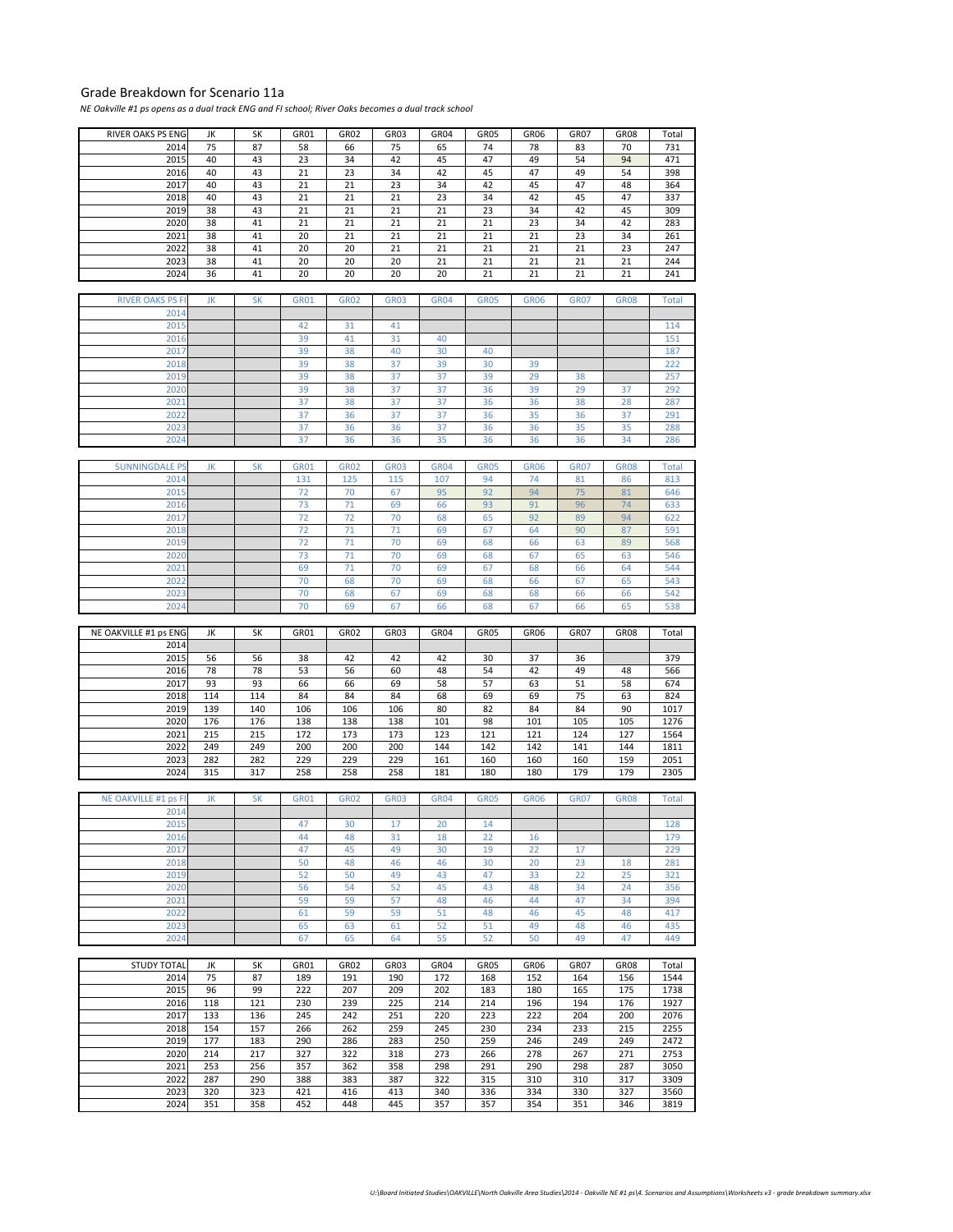## Grade Breakdown for Scenario 11a

NE Oakville #1 ps opens as a dual track ENG and FI school; River Oaks becomes a dual track school

| RIVER OAKS PS ENG           | JK         | SΚ         | GR01        | GR <sub>02</sub> | GR03        | GR04        | GR05        | GR06        | GR07        | <b>GR08</b> | Total        |
|-----------------------------|------------|------------|-------------|------------------|-------------|-------------|-------------|-------------|-------------|-------------|--------------|
| 2014                        | 75         | 87         | 58          | 66               | 75          | 65          | 74          | 78          | 83          | 70          | 731          |
| 2015                        | 40         | 43         | 23          | 34               | 42          | 45          | 47          | 49          | 54          | 94          | 471          |
| 2016                        | 40         | 43         | 21          | 23               | 34          | 42          | 45          | 47          | 49          | 54          | 398          |
| 2017                        | 40         | 43         | 21          | 21               | 23          | 34          | 42          | 45          | 47          | 48          | 364          |
| 2018                        | 40         | 43         | 21          | 21               | 21          | 23          | 34          | 42          | 45          | 47          | 337          |
| 2019                        | 38         | 43         | 21          | 21               | 21          | 21          | 23          | 34          | 42          | 45          | 309          |
| 2020                        | 38         | 41         | 21          | 21               | 21          | 21          | 21          | 23          | 34          | 42          | 283          |
| 2021                        | 38         | 41         | 20          | 21               | 21          | 21          | 21          | 21          | 23          | 34          | 261          |
| 2022                        | 38         | 41         | 20          | 20               | 21          | 21          | 21          | 21          | 21          | 23          | 247          |
| 2023                        | 38         | 41         | 20          | 20               | 20          | 21          | 21          | 21          | 21          | 21          | 244          |
| 2024                        | 36         | 41         | 20          | 20               | 20          | 20          | 21          | 21          | 21          | 21          | 241          |
|                             |            |            |             |                  |             |             |             |             |             |             |              |
| <b>RIVER OAKS PS FI</b>     | JK         | <b>SK</b>  | <b>GR01</b> | <b>GR02</b>      | <b>GR03</b> | <b>GR04</b> | <b>GR05</b> | <b>GR06</b> | <b>GR07</b> | <b>GR08</b> | <b>Total</b> |
| 2014                        |            |            |             |                  |             |             |             |             |             |             |              |
| 2015                        |            |            | 42          | 31               | 41          |             |             |             |             |             | 114          |
| 2016                        |            |            | 39          | 41               | 31          | 40          |             |             |             |             | 151          |
| 2017                        |            |            | 39          | 38               | 40          | 30          | 40          |             |             |             | 187          |
| 2018                        |            |            | 39          | 38               | 37          | 39          | 30          | 39          |             |             | 222          |
| 2019                        |            |            | 39          | 38               | 37          | 37          | 39          | 29          | 38          |             | 257          |
| 2020                        |            |            | 39          | 38               | 37          | 37          | 36          | 39          | 29          | 37          | 292          |
| 2021                        |            |            | 37          | 38               | 37          | 37          | 36          | 36          | 38          | 28          | 287          |
| 2022                        |            |            | 37          | 36               | 37          | 37          | 36          | 35          | 36          | 37          | 291          |
| 2023                        |            |            | 37          | 36               | 36          | 37          | 36          | 36          | 35          | 35          | 288          |
| 2024                        |            |            | 37          | 36               | 36          | 35          | 36          | 36          | 36          | 34          | 286          |
|                             |            |            |             |                  |             |             |             |             |             |             |              |
| <b>SUNNINGDALE PS</b>       | JK         | <b>SK</b>  | <b>GR01</b> | <b>GR02</b>      | <b>GR03</b> | <b>GR04</b> | <b>GR05</b> | <b>GR06</b> | <b>GR07</b> | <b>GR08</b> | <b>Total</b> |
| 2014                        |            |            | 131         | 125              | 115         | 107         | 94          | 74          | 81          | 86          | 813          |
| 2015                        |            |            | 72          | 70               | 67          | 95          | 92          | 94          | 75          | 81          | 646          |
| 2016                        |            |            | 73          | 71               | 69          | 66          | 93          | 91          | 96          | 74          | 633          |
| 2017                        |            |            | 72          | 72               | 70          | 68          | 65          | 92          | 89          | 94          | 622          |
| 2018                        |            |            | 72          | 71               | 71          | 69          | 67          | 64          | 90          | 87          | 591          |
| 2019                        |            |            | 72          | 71               | 70          | 69          | 68          | 66          | 63          | 89          | 568          |
| 2020                        |            |            | 73          | 71               | 70          | 69          | 68          | 67          | 65          | 63          | 546          |
| 2021                        |            |            | 69          | 71               | 70          | 69          | 67          | 68          | 66          | 64          | 544          |
| 2022                        |            |            | 70          | 68               | 70          | 69          | 68          | 66          | 67          | 65          | 543          |
| 2023                        |            |            | 70          | 68               | 67          | 69          | 68          | 68          | 66          | 66          | 542          |
| 2024                        |            |            | 70          | 69               | 67          | 66          | 68          | 67          | 66          | 65          | 538          |
|                             |            |            |             |                  |             |             |             |             |             |             |              |
|                             |            |            |             |                  |             |             |             |             |             |             |              |
| NE OAKVILLE #1 ps ENG       | JK         | SK         | GR01        | GR02             | GR03        | GR04        | GR05        | GR06        | GR07        | <b>GR08</b> | Total        |
| 2014                        |            |            |             |                  |             |             |             |             |             |             |              |
| 2015                        | 56         | 56         | 38          | 42               | 42          | 42          | 30          | 37          | 36          |             | 379          |
| 2016                        | 78         | 78         | 53          | 56               | 60          | 48          | 54          | 42          | 49          | 48          | 566          |
| 2017                        | 93         | 93         | 66          | 66               | 69          | 58          | 57          | 63          | 51          | 58          | 674          |
| 2018                        | 114        | 114        | 84          | 84               | 84          | 68          | 69          | 69          | 75          | 63          | 824          |
| 2019                        | 139        | 140        | 106         | 106              | 106         | 80          | 82          | 84          | 84          | 90          | 1017         |
| 2020                        | 176        | 176        | 138         | 138              | 138         | 101         | 98          | 101         | 105         | 105         | 1276         |
| 2021                        | 215        | 215        | 172         | 173              | 173         | 123         | 121         | 121         | 124         | 127         | 1564         |
| 2022                        | 249        | 249        | 200         | 200              | 200         | 144         | 142         | 142         | 141         | 144         | 1811         |
| 2023                        | 282        | 282        | 229         | 229              | 229         | 161         | 160         | 160         | 160         | 159         | 2051         |
| 2024                        | 315        | 317        | 258         | 258              | 258         | 181         | 180         | 180         | 179         | 179         | 2305         |
|                             |            |            |             |                  |             |             |             |             |             |             |              |
| <b>NE OAKVILLE #1 ps FI</b> | JK         | <b>SK</b>  | <b>GR01</b> | <b>GR02</b>      | <b>GR03</b> | <b>GR04</b> | <b>GR05</b> | <b>GR06</b> | <b>GR07</b> | <b>GR08</b> | <b>Total</b> |
| 2014                        |            |            |             |                  |             |             |             |             |             |             |              |
| 2015                        |            |            | 47          | 30               | 17          | 20          | 14          |             |             |             | 128          |
| 2016                        |            |            | 44          | 48               | 31          | 18          | 22          | 16          |             |             | 179          |
| 2017                        |            |            | 47          | 45               | 49          | 30          | 19          | 22          | 17          |             | 229          |
| 2018                        |            |            | 50          | 48               | 46          | 46          | 30          | 20          | 23          | 18          | 281          |
| 2019                        |            |            | 52          | 50               | 49          | 43          | 47          | 33          | 22          | 25          | 321          |
| 2020                        |            |            | 56          | 54               | 52          | 45          | 43          | 48          | 34          | 24          | 356          |
| 2021                        |            |            | 59          | 59               | 57          | 48          | 46          | 44          | 47          | 34          | 394          |
| 2022                        |            |            | 61          | 59               | 59          | 51          | 48          | 46          | 45          | 48          | 417          |
| 2023                        |            |            | 65          | 63               | 61          | 52          | 51          | 49          | 48          | 46          | 435          |
| 2024                        |            |            | 67          | 65               | 64          | 55          | 52          | 50          | 49          | 47          | 449          |
|                             |            |            |             |                  |             |             |             |             |             |             |              |
| <b>STUDY TOTAL</b>          | JK         | SK         | GR01        | GR02             | GR03        | GR04        | GR05        | GR06        | GR07        | <b>GR08</b> | Total        |
| 2014                        | 75         | 87         | 189         | 191              | 190         | 172         | 168         | 152         | 164         | 156         | 1544         |
| 2015                        | 96         | 99         | 222         | 207              | 209         | 202         | 183         | 180         | 165         | 175         | 1738         |
| 2016                        | 118        | 121        | 230         | 239              | 225         | 214         | 214         | 196         | 194         | 176         | 1927         |
| 2017                        | 133        | 136        | 245         | 242              | 251         | 220         | 223         | 222         | 204         | 200         | 2076         |
| 2018                        | 154        | 157        | 266         | 262              | 259         | 245         | 230         | 234         | 233         | 215         | 2255         |
| 2019                        | 177        | 183        | 290         | 286              | 283         | 250         | 259         | 246         | 249         | 249         | 2472         |
| 2020                        | 214        | 217        | 327         | 322<br>362       | 318         | 273         | 266         | 278<br>290  | 267         | 271         | 2753         |
| 2021                        | 253        | 256        | 357         |                  | 358         | 298         | 291         |             | 298         | 287         | 3050         |
| 2022<br>2023                | 287        | 290<br>323 | 388<br>421  | 383<br>416       | 387<br>413  | 322<br>340  | 315         | 310<br>334  | 310<br>330  | 317<br>327  | 3309         |
| 2024                        | 320<br>351 | 358        | 452         | 448              | 445         | 357         | 336<br>357  | 354         | 351         | 346         | 3560<br>3819 |